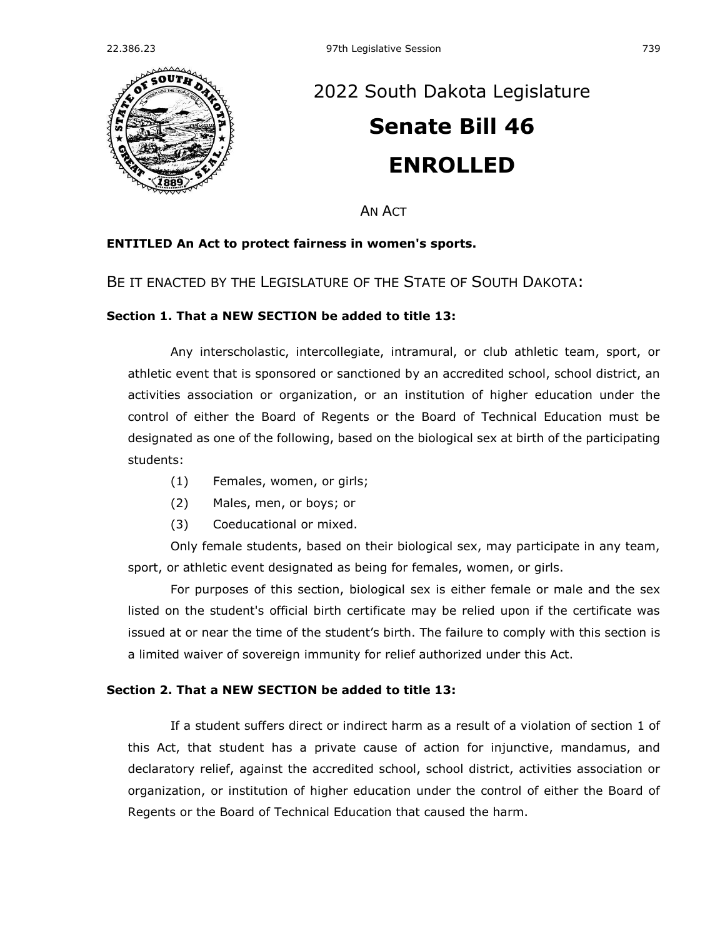

# [2022 South Dakota Legislature](https://sdlegislature.gov/Session/Bills/64) **[Senate Bill 46](https://sdlegislature.gov/Session/Bill/22957) ENROLLED**

AN ACT

## **ENTITLED An Act to protect fairness in women's sports.**

BE IT ENACTED BY THE LEGISLATURE OF THE STATE OF SOUTH DAKOTA:

## **Section 1. That a NEW SECTION be added to title 13:**

Any interscholastic, intercollegiate, intramural, or club athletic team, sport, or athletic event that is sponsored or sanctioned by an accredited school, school district, an activities association or organization, or an institution of higher education under the control of either the Board of Regents or the Board of Technical Education must be designated as one of the following, based on the biological sex at birth of the participating students:

- (1) Females, women, or girls;
- (2) Males, men, or boys; or
- (3) Coeducational or mixed.

Only female students, based on their biological sex, may participate in any team, sport, or athletic event designated as being for females, women, or girls.

For purposes of this section, biological sex is either female or male and the sex listed on the student's official birth certificate may be relied upon if the certificate was issued at or near the time of the student's birth. The failure to comply with this section is a limited waiver of sovereign immunity for relief authorized under this Act.

## **Section 2. That a NEW SECTION be added to title 13:**

If a student suffers direct or indirect harm as a result of a violation of section 1 of this Act, that student has a private cause of action for injunctive, mandamus, and declaratory relief, against the accredited school, school district, activities association or organization, or institution of higher education under the control of either the Board of Regents or the Board of Technical Education that caused the harm.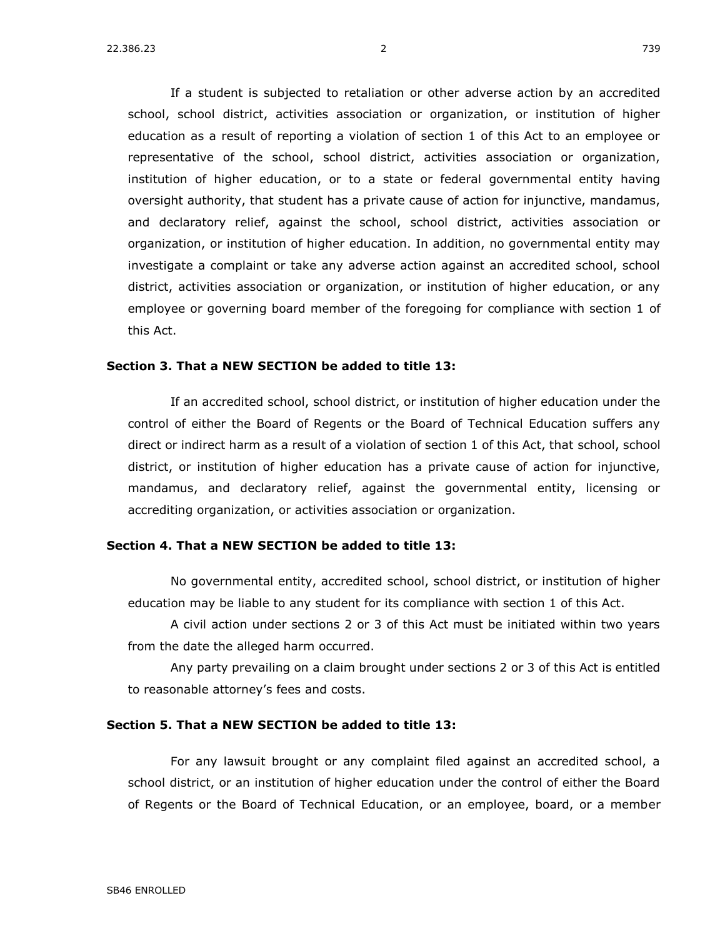If a student is subjected to retaliation or other adverse action by an accredited school, school district, activities association or organization, or institution of higher education as a result of reporting a violation of section 1 of this Act to an employee or representative of the school, school district, activities association or organization, institution of higher education, or to a state or federal governmental entity having oversight authority, that student has a private cause of action for injunctive, mandamus, and declaratory relief, against the school, school district, activities association or organization, or institution of higher education. In addition, no governmental entity may investigate a complaint or take any adverse action against an accredited school, school district, activities association or organization, or institution of higher education, or any employee or governing board member of the foregoing for compliance with section 1 of this Act.

### **Section 3. That a NEW SECTION be added to title 13:**

If an accredited school, school district, or institution of higher education under the control of either the Board of Regents or the Board of Technical Education suffers any direct or indirect harm as a result of a violation of section 1 of this Act, that school, school district, or institution of higher education has a private cause of action for injunctive, mandamus, and declaratory relief, against the governmental entity, licensing or accrediting organization, or activities association or organization.

#### **Section 4. That a NEW SECTION be added to title 13:**

No governmental entity, accredited school, school district, or institution of higher education may be liable to any student for its compliance with section 1 of this Act.

A civil action under sections 2 or 3 of this Act must be initiated within two years from the date the alleged harm occurred.

Any party prevailing on a claim brought under sections 2 or 3 of this Act is entitled to reasonable attorney's fees and costs.

#### **Section 5. That a NEW SECTION be added to title 13:**

For any lawsuit brought or any complaint filed against an accredited school, a school district, or an institution of higher education under the control of either the Board of Regents or the Board of Technical Education, or an employee, board, or a member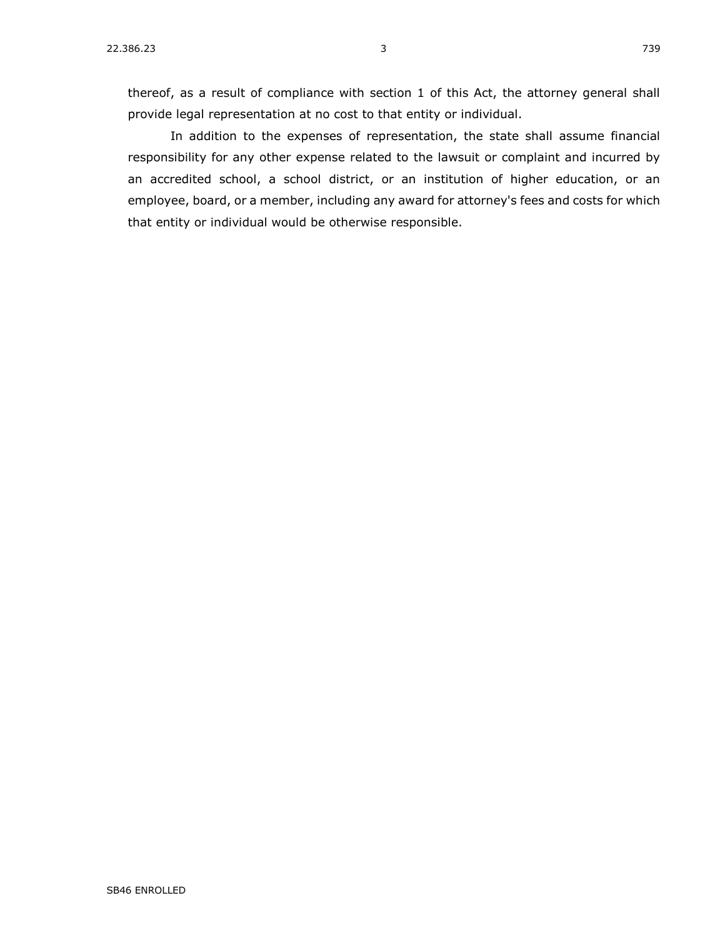thereof, as a result of compliance with section 1 of this Act, the attorney general shall provide legal representation at no cost to that entity or individual.

In addition to the expenses of representation, the state shall assume financial responsibility for any other expense related to the lawsuit or complaint and incurred by an accredited school, a school district, or an institution of higher education, or an employee, board, or a member, including any award for attorney's fees and costs for which that entity or individual would be otherwise responsible.